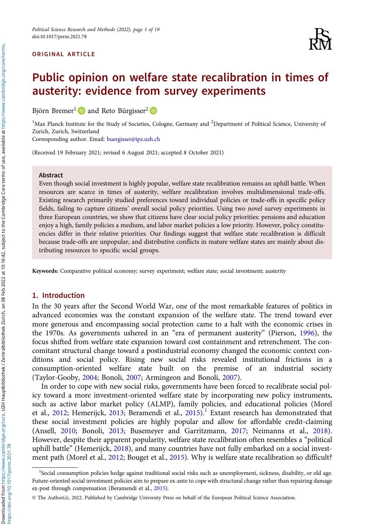#### ORIGINAL ARTICLE



# Public opinion on welfare state recalibration in times of austerity: evidence from survey experiments

Björn Bremer<sup>1</sup> and Reto Bürgisser<sup>2</sup> **D** 

<sup>1</sup>Max Planck Institute for the Study of Societies, Cologne, Germany and <sup>2</sup>Department of Political Science, University of Zurich, Zurich, Switzerland

Corresponding author. Email: [buergisser@ipz.uzh.ch](mailto:buergisser@ipz.uzh.ch)

(Received 19 February 2021; revised 6 August 2021; accepted 8 October 2021)

#### Abstract

Even though social investment is highly popular, welfare state recalibration remains an uphill battle. When resources are scarce in times of austerity, welfare recalibration involves multidimensional trade-offs. Existing research primarily studied preferences toward individual policies or trade-offs in specific policy fields, failing to capture citizens' overall social policy priorities. Using two novel survey experiments in three European countries, we show that citizens have clear social policy priorities: pensions and education enjoy a high, family policies a medium, and labor market policies a low priority. However, policy constituencies differ in their relative priorities. Our findings suggest that welfare state recalibration is difficult because trade-offs are unpopular, and distributive conflicts in mature welfare states are mainly about distributing resources to specific social groups.

Keywords: Comparative political economy; survey experiment; welfare state; social investment; austerity

#### 1. Introduction

In the 30 years after the Second World War, one of the most remarkable features of politics in advanced economies was the constant expansion of the welfare state. The trend toward ever more generous and encompassing social protection came to a halt with the economic crises in the 1970s. As governments ushered in an "era of permanent austerity" (Pierson, [1996](#page-18-0)), the focus shifted from welfare state expansion toward cost containment and retrenchment. The concomitant structural change toward a postindustrial economy changed the economic context conditions and social policy. Rising new social risks revealed institutional frictions in a consumption-oriented welfare state built on the premise of an industrial society (Taylor-Gooby, [2004;](#page-18-0) Bonoli, [2007;](#page-17-0) Armingeon and Bonoli, [2007\)](#page-16-0).

In order to cope with new social risks, governments have been forced to recalibrate social policy toward a more investment-oriented welfare state by incorporating new policy instruments, such as active labor market policy (ALMP), family policies, and educational policies (Morel et al., [2012;](#page-18-0) Hemerijck, [2013;](#page-17-0) Beramendi et al., [2015\)](#page-17-0).<sup>1</sup> Extant research has demonstrated that these social investment policies are highly popular and allow for affordable credit-claiming (Ansell, [2010;](#page-16-0) Bonoli, [2013;](#page-17-0) Busemeyer and Garritzmann, [2017;](#page-17-0) Neimanns et al., [2018\)](#page-18-0). However, despite their apparent popularity, welfare state recalibration often resembles a "political uphill battle" (Hemerijck, [2018\)](#page-17-0), and many countries have not fully embarked on a social invest-ment path (Morel et al., [2012](#page-18-0); Bouget et al., [2015\)](#page-17-0). Why is welfare state recalibration so difficult?

<sup>&</sup>lt;sup>1</sup>Social consumption policies hedge against traditional social risks such as unemployment, sickness, disability, or old age. Future-oriented social investment policies aim to prepare ex-ante to cope with structural change rather than repairing damage ex-post through compensation (Beramendi et al., [2015\)](#page-17-0).

<sup>©</sup> The Author(s), 2022. Published by Cambridge University Press on behalf of the European Political Science Association.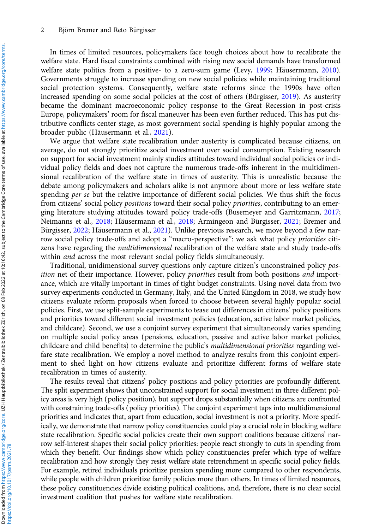In times of limited resources, policymakers face tough choices about how to recalibrate the welfare state. Hard fiscal constraints combined with rising new social demands have transformed welfare state politics from a positive- to a zero-sum game (Levy, [1999](#page-18-0); Häusermann, [2010\)](#page-17-0). Governments struggle to increase spending on new social policies while maintaining traditional social protection systems. Consequently, welfare state reforms since the 1990s have often increased spending on some social policies at the cost of others (Bürgisser, [2019\)](#page-17-0). As austerity became the dominant macroeconomic policy response to the Great Recession in post-crisis Europe, policymakers' room for fiscal maneuver has been even further reduced. This has put distributive conflicts center stage, as most government social spending is highly popular among the broader public (Häusermann et al., [2021](#page-17-0)).

We argue that welfare state recalibration under austerity is complicated because citizens, on average, do not strongly prioritize social investment over social consumption. Existing research on support for social investment mainly studies attitudes toward individual social policies or individual policy fields and does not capture the numerous trade-offs inherent in the multidimensional recalibration of the welfare state in times of austerity. This is unrealistic because the debate among policymakers and scholars alike is not anymore about more or less welfare state spending per se but the relative importance of different social policies. We thus shift the focus from citizens' social policy positions toward their social policy priorities, contributing to an emerging literature studying attitudes toward policy trade-offs (Busemeyer and Garritzmann, [2017](#page-17-0); Neimanns et al., [2018](#page-18-0); Häusermann et al., [2018;](#page-17-0) Armingeon and Bürgisser, [2021](#page-17-0); Bremer and Bürgisser, [2022;](#page-17-0) Häusermann et al., [2021](#page-17-0)). Unlike previous research, we move beyond a few narrow social policy trade-offs and adopt a "macro-perspective": we ask what policy priorities citizens have regarding the multidimensional recalibration of the welfare state and study trade-offs within *and* across the most relevant social policy fields simultaneously.

Traditional, unidimensional survey questions only capture citizen's unconstrained policy position net of their importance. However, policy priorities result from both positions and importance, which are vitally important in times of tight budget constraints. Using novel data from two survey experiments conducted in Germany, Italy, and the United Kingdom in 2018, we study how citizens evaluate reform proposals when forced to choose between several highly popular social policies. First, we use split-sample experiments to tease out differences in citizens' policy positions and priorities toward different social investment policies (education, active labor market policies, and childcare). Second, we use a conjoint survey experiment that simultaneously varies spending on multiple social policy areas (pensions, education, passive and active labor market policies, childcare and child benefits) to determine the public's multidimensional priorities regarding welfare state recalibration. We employ a novel method to analyze results from this conjoint experiment to shed light on how citizens evaluate and prioritize different forms of welfare state recalibration in times of austerity.

The results reveal that citizens' policy positions and policy priorities are profoundly different. The split experiment shows that unconstrained support for social investment in three different policy areas is very high (policy position), but support drops substantially when citizens are confronted with constraining trade-offs (policy priorities). The conjoint experiment taps into multidimensional priorities and indicates that, apart from education, social investment is not a priority. More specifically, we demonstrate that narrow policy constituencies could play a crucial role in blocking welfare state recalibration. Specific social policies create their own support coalitions because citizens' narrow self-interest shapes their social policy priorities: people react strongly to cuts in spending from which they benefit. Our findings show which policy constituencies prefer which type of welfare recalibration and how strongly they resist welfare state retrenchment in specific social policy fields. For example, retired individuals prioritize pension spending more compared to other respondents, while people with children prioritize family policies more than others. In times of limited resources, these policy constituencies divide existing political coalitions, and, therefore, there is no clear social investment coalition that pushes for welfare state recalibration.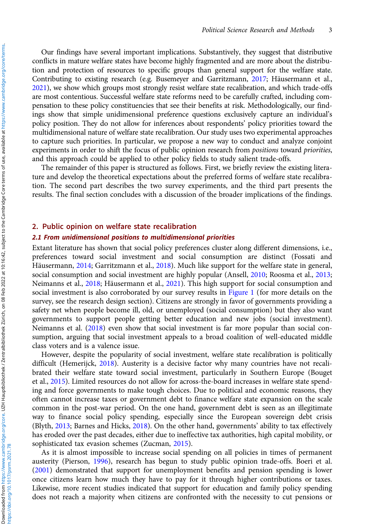Our findings have several important implications. Substantively, they suggest that distributive conflicts in mature welfare states have become highly fragmented and are more about the distribution and protection of resources to specific groups than general support for the welfare state. Contributing to existing research (e.g. Busemeyer and Garritzmann, [2017](#page-17-0); Häusermann et al., [2021\)](#page-17-0), we show which groups most strongly resist welfare state recalibration, and which trade-offs are most contentious. Successful welfare state reforms need to be carefully crafted, including compensation to these policy constituencies that see their benefits at risk. Methodologically, our findings show that simple unidimensional preference questions exclusively capture an individual's policy position. They do not allow for inferences about respondents' policy priorities toward the multidimensional nature of welfare state recalibration. Our study uses two experimental approaches to capture such priorities. In particular, we propose a new way to conduct and analyze conjoint experiments in order to shift the focus of public opinion research from positions toward priorities, and this approach could be applied to other policy fields to study salient trade-offs.

The remainder of this paper is structured as follows. First, we briefly review the existing literature and develop the theoretical expectations about the preferred forms of welfare state recalibration. The second part describes the two survey experiments, and the third part presents the results. The final section concludes with a discussion of the broader implications of the findings.

# 2. Public opinion on welfare state recalibration

#### 2.1 From unidimensional positions to multidimensional priorities

Extant literature has shown that social policy preferences cluster along different dimensions, i.e., preferences toward social investment and social consumption are distinct (Fossati and Häusermann, [2014;](#page-17-0) Garritzmann et al., [2018](#page-17-0)). Much like support for the welfare state in general, social consumption and social investment are highly popular (Ansell, [2010](#page-16-0); Roosma et al., [2013](#page-18-0); Neimanns et al., [2018;](#page-18-0) Häusermann et al., [2021](#page-17-0)). This high support for social consumption and social investment is also corroborated by our survey results in [Figure 1](#page-3-0) (for more details on the survey, see the research design section). Citizens are strongly in favor of governments providing a safety net when people become ill, old, or unemployed (social consumption) but they also want governments to support people getting better education and new jobs (social investment). Neimanns et al. [\(2018](#page-18-0)) even show that social investment is far more popular than social consumption, arguing that social investment appeals to a broad coalition of well-educated middle class voters and is a valence issue.

However, despite the popularity of social investment, welfare state recalibration is politically difficult (Hemerijck, [2018](#page-17-0)). Austerity is a decisive factor why many countries have not recalibrated their welfare state toward social investment, particularly in Southern Europe (Bouget et al., [2015](#page-17-0)). Limited resources do not allow for across-the-board increases in welfare state spending and force governments to make tough choices. Due to political and economic reasons, they often cannot increase taxes or government debt to finance welfare state expansion on the scale common in the post-war period. On the one hand, government debt is seen as an illegitimate way to finance social policy spending, especially since the European sovereign debt crisis (Blyth, [2013;](#page-17-0) Barnes and Hicks, [2018](#page-17-0)). On the other hand, governments' ability to tax effectively has eroded over the past decades, either due to ineffective tax authorities, high capital mobility, or sophisticated tax evasion schemes (Zucman, [2015](#page-18-0)).

As it is almost impossible to increase social spending on all policies in times of permanent austerity (Pierson, [1996\)](#page-18-0), research has begun to study public opinion trade-offs. Boeri et al. [\(2001\)](#page-17-0) demonstrated that support for unemployment benefits and pension spending is lower once citizens learn how much they have to pay for it through higher contributions or taxes. Likewise, more recent studies indicated that support for education and family policy spending does not reach a majority when citizens are confronted with the necessity to cut pensions or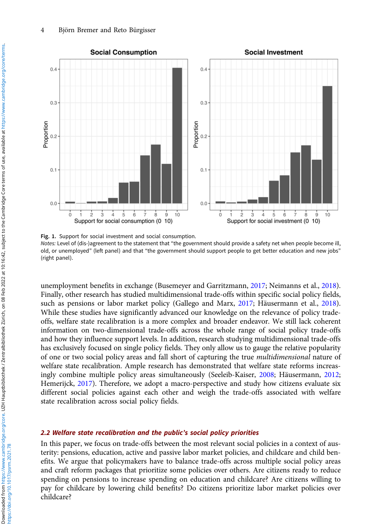<span id="page-3-0"></span>

Fig. 1. Support for social investment and social consumption. Notes: Level of (dis-)agreement to the statement that "the government should provide a safety net when people become ill, old, or unemployed" (left panel) and that "the government should support people to get better education and new jobs" (right panel).

unemployment benefits in exchange (Busemeyer and Garritzmann, [2017](#page-17-0); Neimanns et al., [2018\)](#page-18-0). Finally, other research has studied multidimensional trade-offs within specific social policy fields, such as pensions or labor market policy (Gallego and Marx, [2017;](#page-17-0) Häusermann et al., [2018\)](#page-17-0). While these studies have significantly advanced our knowledge on the relevance of policy tradeoffs, welfare state recalibration is a more complex and broader endeavor. We still lack coherent information on two-dimensional trade-offs across the whole range of social policy trade-offs and how they influence support levels. In addition, research studying multidimensional trade-offs has exclusively focused on single policy fields. They only allow us to gauge the relative popularity of one or two social policy areas and fall short of capturing the true multidimensional nature of welfare state recalibration. Ample research has demonstrated that welfare state reforms increasingly combine multiple policy areas simultaneously (Seeleib-Kaiser, [2008;](#page-18-0) Häusermann, [2012](#page-17-0); Hemerijck, [2017](#page-17-0)). Therefore, we adopt a macro-perspective and study how citizens evaluate six different social policies against each other and weigh the trade-offs associated with welfare state recalibration across social policy fields.

### 2.2 Welfare state recalibration and the public's social policy priorities

In this paper, we focus on trade-offs between the most relevant social policies in a context of austerity: pensions, education, active and passive labor market policies, and childcare and child benefits. We argue that policymakers have to balance trade-offs across multiple social policy areas and craft reform packages that prioritize some policies over others. Are citizens ready to reduce spending on pensions to increase spending on education and childcare? Are citizens willing to pay for childcare by lowering child benefits? Do citizens prioritize labor market policies over childcare?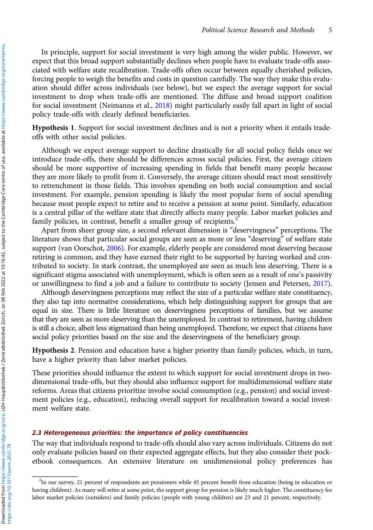In principle, support for social investment is very high among the wider public. However, we expect that this broad support substantially declines when people have to evaluate trade-offs associated with welfare state recalibration. Trade-offs often occur between equally cherished policies, forcing people to weigh the benefits and costs in question carefully. The way they make this evaluation should differ across individuals (see below), but we expect the average support for social investment to drop when trade-offs are mentioned. The diffuse and broad support coalition for social investment (Neimanns et al., [2018](#page-18-0)) might particularly easily fall apart in light of social policy trade-offs with clearly defined beneficiaries.

Hypothesis 1. Support for social investment declines and is not a priority when it entails tradeoffs with other social policies.

Although we expect average support to decline drastically for all social policy fields once we introduce trade-offs, there should be differences across social policies. First, the average citizen should be more supportive of increasing spending in fields that benefit many people because they are more likely to profit from it. Conversely, the average citizen should react most sensitively to retrenchment in those fields. This involves spending on both social consumption and social investment. For example, pension spending is likely the most popular form of social spending because most people expect to retire and to receive a pension at some point. Similarly, education is a central pillar of the welfare state that directly affects many people. Labor market policies and family policies, in contrast, benefit a smaller group of recipients.

Apart from sheer group size, a second relevant dimension is "deservingness" perceptions. The literature shows that particular social groups are seen as more or less "deserving" of welfare state support (van Oorschot, [2006](#page-18-0)). For example, elderly people are considered most deserving because retiring is common, and they have earned their right to be supported by having worked and contributed to society. In stark contrast, the unemployed are seen as much less deserving. There is a significant stigma associated with unemployment, which is often seen as a result of one's passivity or unwillingness to find a job and a failure to contribute to society (Jensen and Petersen, [2017\)](#page-17-0).

Although deservingness perceptions may reflect the size of a particular welfare state constituency, they also tap into normative considerations, which help distinguishing support for groups that are equal in size. There is little literature on deservingness perceptions of families, but we assume that they are seen as more deserving than the unemployed. In contrast to retirement, having children is still a choice, albeit less stigmatized than being unemployed. Therefore, we expect that citizens have social policy priorities based on the size and the deservingness of the beneficiary group.

Hypothesis 2. Pension and education have a higher priority than family policies, which, in turn, have a higher priority than labor market policies.

These priorities should influence the extent to which support for social investment drops in twodimensional trade-offs, but they should also influence support for multidimensional welfare state reforms. Areas that citizens prioritize involve social consumption (e.g., pension) and social investment policies (e.g., education), reducing overall support for recalibration toward a social investment welfare state.

# 2.3 Heterogeneous priorities: the importance of policy constituencies

The way that individuals respond to trade-offs should also vary across individuals. Citizens do not only evaluate policies based on their expected aggregate effects, but they also consider their pocketbook consequences. An extensive literature on unidimensional policy preferences has

<sup>&</sup>lt;sup>2</sup>In our survey, 21 percent of respondents are pensioners while 45 percent benefit from education (being in education or having children). As many will retire at some point, the support group for pension is likely much higher. The constituency for labor market policies (outsiders) and family policies (people with young children) are 23 and 21 percent, respectively.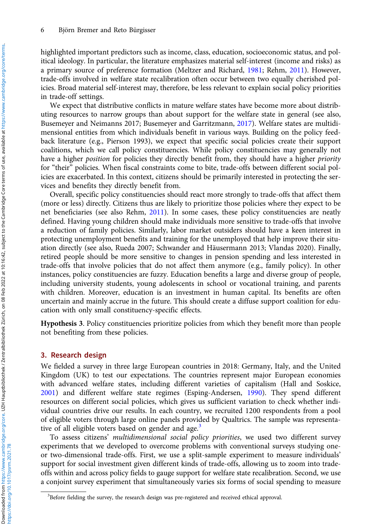highlighted important predictors such as income, class, education, socioeconomic status, and political ideology. In particular, the literature emphasizes material self-interest (income and risks) as a primary source of preference formation (Meltzer and Richard, [1981;](#page-18-0) Rehm, [2011\)](#page-18-0). However, trade-offs involved in welfare state recalibration often occur between two equally cherished policies. Broad material self-interest may, therefore, be less relevant to explain social policy priorities in trade-off settings.

We expect that distributive conflicts in mature welfare states have become more about distributing resources to narrow groups than about support for the welfare state in general (see also, Busemeyer and Neimanns 2017; Busemeyer and Garritzmann, [2017](#page-17-0)). Welfare states are multidimensional entities from which individuals benefit in various ways. Building on the policy feedback literature (e.g., Pierson 1993), we expect that specific social policies create their support coalitions, which we call policy constituencies. While policy constituencies may generally not have a higher *position* for policies they directly benefit from, they should have a higher *priority* for "their" policies. When fiscal constraints come to bite, trade-offs between different social policies are exacerbated. In this context, citizens should be primarily interested in protecting the services and benefits they directly benefit from.

Overall, specific policy constituencies should react more strongly to trade-offs that affect them (more or less) directly. Citizens thus are likely to prioritize those policies where they expect to be net beneficiaries (see also Rehm, [2011](#page-18-0)). In some cases, these policy constituencies are neatly defined. Having young children should make individuals more sensitive to trade-offs that involve a reduction of family policies. Similarly, labor market outsiders should have a keen interest in protecting unemployment benefits and training for the unemployed that help improve their situation directly (see also, Rueda 2007; Schwander and Häusermann 2013; Vlandas 2020). Finally, retired people should be more sensitive to changes in pension spending and less interested in trade-offs that involve policies that do not affect them anymore (e.g., family policy). In other instances, policy constituencies are fuzzy. Education benefits a large and diverse group of people, including university students, young adolescents in school or vocational training, and parents with children. Moreover, education is an investment in human capital. Its benefits are often uncertain and mainly accrue in the future. This should create a diffuse support coalition for education with only small constituency-specific effects.

Hypothesis 3. Policy constituencies prioritize policies from which they benefit more than people not benefiting from these policies.

# 3. Research design

We fielded a survey in three large European countries in 2018: Germany, Italy, and the United Kingdom (UK) to test our expectations. The countries represent major European economies with advanced welfare states, including different varieties of capitalism (Hall and Soskice, [2001\)](#page-17-0) and different welfare state regimes (Esping-Andersen, [1990\)](#page-17-0). They spend different resources on different social policies, which gives us sufficient variation to check whether individual countries drive our results. In each country, we recruited 1200 respondents from a pool of eligible voters through large online panels provided by Qualtrics. The sample was representative of all eligible voters based on gender and age.<sup>3</sup>

To assess citizens' multidimensional social policy priorities, we used two different survey experiments that we developed to overcome problems with conventional surveys studying oneor two-dimensional trade-offs. First, we use a split-sample experiment to measure individuals' support for social investment given different kinds of trade-offs, allowing us to zoom into tradeoffs within and across policy fields to gauge support for welfare state recalibration. Second, we use a conjoint survey experiment that simultaneously varies six forms of social spending to measure

https://doi.org/10.1017/psrm.2021.78

<sup>&</sup>lt;sup>3</sup>Before fielding the survey, the research design was pre-registered and received ethical approval.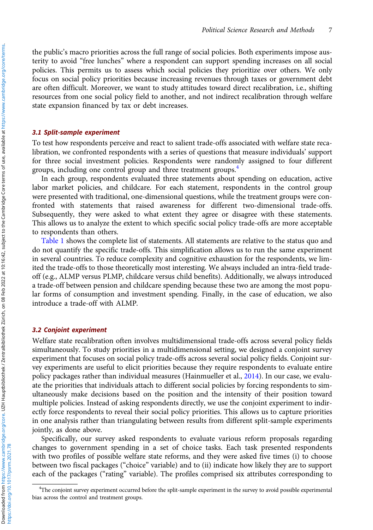the public's macro priorities across the full range of social policies. Both experiments impose austerity to avoid "free lunches" where a respondent can support spending increases on all social policies. This permits us to assess which social policies they prioritize over others. We only focus on social policy priorities because increasing revenues through taxes or government debt are often difficult. Moreover, we want to study attitudes toward direct recalibration, i.e., shifting resources from one social policy field to another, and not indirect recalibration through welfare state expansion financed by tax or debt increases.

### 3.1 Split-sample experiment

To test how respondents perceive and react to salient trade-offs associated with welfare state recalibration, we confronted respondents with a series of questions that measure individuals' support for three social investment policies. Respondents were randomly assigned to four different groups, including one control group and three treatment groups.<sup>4</sup>

In each group, respondents evaluated three statements about spending on education, active labor market policies, and childcare. For each statement, respondents in the control group were presented with traditional, one-dimensional questions, while the treatment groups were confronted with statements that raised awareness for different two-dimensional trade-offs. Subsequently, they were asked to what extent they agree or disagree with these statements. This allows us to analyze the extent to which specific social policy trade-offs are more acceptable to respondents than others.

[Table 1](#page-7-0) shows the complete list of statements. All statements are relative to the status quo and do not quantify the specific trade-offs. This simplification allows us to run the same experiment in several countries. To reduce complexity and cognitive exhaustion for the respondents, we limited the trade-offs to those theoretically most interesting. We always included an intra-field tradeoff (e.g., ALMP versus PLMP, childcare versus child benefits). Additionally, we always introduced a trade-off between pension and childcare spending because these two are among the most popular forms of consumption and investment spending. Finally, in the case of education, we also introduce a trade-off with ALMP.

## 3.2 Conjoint experiment

Welfare state recalibration often involves multidimensional trade-offs across several policy fields simultaneously. To study priorities in a multidimensional setting, we designed a conjoint survey experiment that focuses on social policy trade-offs across several social policy fields. Conjoint survey experiments are useful to elicit priorities because they require respondents to evaluate entire policy packages rather than individual measures (Hainmueller et al., [2014](#page-17-0)). In our case, we evaluate the priorities that individuals attach to different social policies by forcing respondents to simultaneously make decisions based on the position and the intensity of their position toward multiple policies. Instead of asking respondents directly, we use the conjoint experiment to indirectly force respondents to reveal their social policy priorities. This allows us to capture priorities in one analysis rather than triangulating between results from different split-sample experiments jointly, as done above.

Specifically, our survey asked respondents to evaluate various reform proposals regarding changes to government spending in a set of choice tasks. Each task presented respondents with two profiles of possible welfare state reforms, and they were asked five times (i) to choose between two fiscal packages ("choice" variable) and to (ii) indicate how likely they are to support each of the packages ("rating" variable). The profiles comprised six attributes corresponding to

<sup>4</sup> The conjoint survey experiment occurred before the split-sample experiment in the survey to avoid possible experimental bias across the control and treatment groups.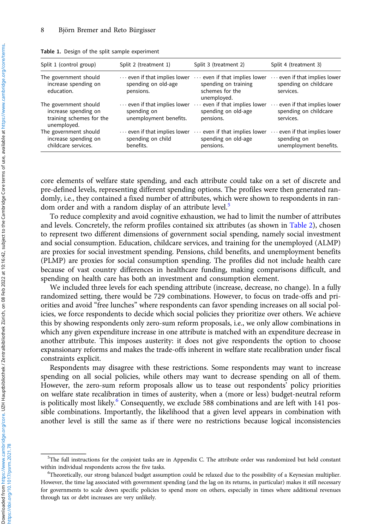| Split 1 (control group)                                                                  | Split 2 (treatment 1)                                                        | Split 3 (treatment 2)                                                                         | Split 4 (treatment 3)                                                        |
|------------------------------------------------------------------------------------------|------------------------------------------------------------------------------|-----------------------------------------------------------------------------------------------|------------------------------------------------------------------------------|
| The government should<br>increase spending on<br>education.                              | $\cdots$ even if that implies lower<br>spending on old-age<br>pensions.      | $\cdots$ even if that implies lower<br>spending on training<br>schemes for the<br>unemployed. | $\cdots$ even if that implies lower<br>spending on childcare<br>services.    |
| The government should<br>increase spending on<br>training schemes for the<br>unemployed. | $\cdots$ even if that implies lower<br>spending on<br>unemployment benefits. | even if that implies lower<br>$\cdots$<br>spending on old-age<br>pensions.                    | $\cdots$ even if that implies lower<br>spending on childcare<br>services.    |
| The government should<br>increase spending on<br>childcare services.                     | $\cdots$ even if that implies lower<br>spending on child<br>benefits.        | even if that implies lower<br>spending on old-age<br>pensions.                                | $\cdots$ even if that implies lower<br>spending on<br>unemployment benefits. |

<span id="page-7-0"></span>Table 1. Design of the split sample experiment

core elements of welfare state spending, and each attribute could take on a set of discrete and pre-defined levels, representing different spending options. The profiles were then generated randomly, i.e., they contained a fixed number of attributes, which were shown to respondents in random order and with a random display of an attribute level.<sup>5</sup>

To reduce complexity and avoid cognitive exhaustion, we had to limit the number of attributes and levels. Concretely, the reform profiles contained six attributes (as shown in [Table 2\)](#page-8-0), chosen to represent two different dimensions of government social spending, namely social investment and social consumption. Education, childcare services, and training for the unemployed (ALMP) are proxies for social investment spending. Pensions, child benefits, and unemployment benefits (PLMP) are proxies for social consumption spending. The profiles did not include health care because of vast country differences in healthcare funding, making comparisons difficult, and spending on health care has both an investment and consumption element.

We included three levels for each spending attribute (increase, decrease, no change). In a fully randomized setting, there would be 729 combinations. However, to focus on trade-offs and priorities and avoid "free lunches" where respondents can favor spending increases on all social policies, we force respondents to decide which social policies they prioritize over others. We achieve this by showing respondents only zero-sum reform proposals, i.e., we only allow combinations in which any given expenditure increase in one attribute is matched with an expenditure decrease in another attribute. This imposes austerity: it does not give respondents the option to choose expansionary reforms and makes the trade-offs inherent in welfare state recalibration under fiscal constraints explicit.

Respondents may disagree with these restrictions. Some respondents may want to increase spending on all social policies, while others may want to decrease spending on all of them. However, the zero-sum reform proposals allow us to tease out respondents' policy priorities on welfare state recalibration in times of austerity, when a (more or less) budget-neutral reform is politically most likely. $^{\circ}$  Consequently, we exclude 588 combinations and are left with 141 possible combinations. Importantly, the likelihood that a given level appears in combination with another level is still the same as if there were no restrictions because logical inconsistencies

<sup>&</sup>lt;sup>5</sup>The full instructions for the conjoint tasks are in Appendix C. The attribute order was randomized but held constant within individual respondents across the five tasks.

Theoretically, our strong balanced budget assumption could be relaxed due to the possibility of a Keynesian multiplier. However, the time lag associated with government spending (and the lag on its returns, in particular) makes it still necessary for governments to scale down specific policies to spend more on others, especially in times where additional revenues through tax or debt increases are very unlikely.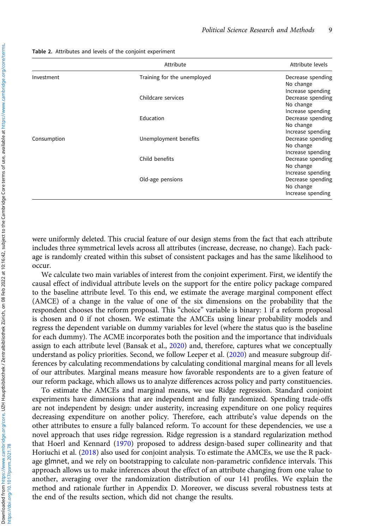|             | Attribute                   | Attribute levels                                                         |  |
|-------------|-----------------------------|--------------------------------------------------------------------------|--|
| Investment  | Training for the unemployed | Decrease spending<br>No change                                           |  |
|             | Childcare services          | Increase spending<br>Decrease spending<br>No change                      |  |
|             | Education                   | Increase spending<br>Decrease spending<br>No change                      |  |
| Consumption | Unemployment benefits       | Increase spending<br>Decrease spending<br>No change                      |  |
|             | Child benefits              | Increase spending<br>Decrease spending<br>No change                      |  |
|             | Old-age pensions            | Increase spending<br>Decrease spending<br>No change<br>Increase spending |  |

<span id="page-8-0"></span>Table 2. Attributes and levels of the conjoint experiment

were uniformly deleted. This crucial feature of our design stems from the fact that each attribute includes three symmetrical levels across all attributes (increase, decrease, no change). Each package is randomly created within this subset of consistent packages and has the same likelihood to occur.

We calculate two main variables of interest from the conjoint experiment. First, we identify the causal effect of individual attribute levels on the support for the entire policy package compared to the baseline attribute level. To this end, we estimate the average marginal component effect (AMCE) of a change in the value of one of the six dimensions on the probability that the respondent chooses the reform proposal. This "choice" variable is binary: 1 if a reform proposal is chosen and 0 if not chosen. We estimate the AMCEs using linear probability models and regress the dependent variable on dummy variables for level (where the status quo is the baseline for each dummy). The ACME incorporates both the position and the importance that individuals assign to each attribute level (Bansak et al., [2020\)](#page-17-0) and, therefore, captures what we conceptually understand as policy priorities. Second, we follow Leeper et al. [\(2020\)](#page-18-0) and measure subgroup differences by calculating recommendations by calculating conditional marginal means for all levels of our attributes. Marginal means measure how favorable respondents are to a given feature of our reform package, which allows us to analyze differences across policy and party constituencies.

To estimate the AMCEs and marginal means, we use Ridge regression. Standard conjoint experiments have dimensions that are independent and fully randomized. Spending trade-offs are not independent by design: under austerity, increasing expenditure on one policy requires decreasing expenditure on another policy. Therefore, each attribute's value depends on the other attributes to ensure a fully balanced reform. To account for these dependencies, we use a novel approach that uses ridge regression. Ridge regression is a standard regularization method that Hoerl and Kennard ([1970](#page-17-0)) proposed to address design-based super collinearity and that Horiuchi et al. ([2018](#page-17-0)) also used for conjoint analysis. To estimate the AMCEs, we use the R package glmnet, and we rely on bootstrapping to calculate non-parametric confidence intervals. This approach allows us to make inferences about the effect of an attribute changing from one value to another, averaging over the randomization distribution of our 141 profiles. We explain the method and rationale further in Appendix D. Moreover, we discuss several robustness tests at the end of the results section, which did not change the results.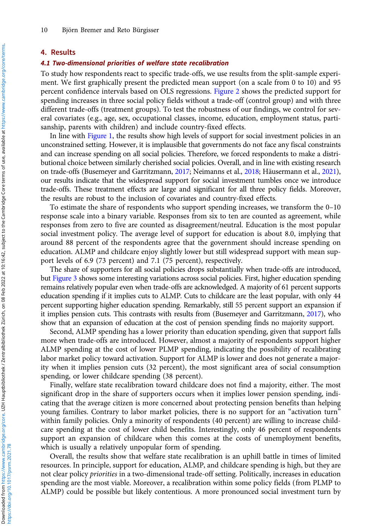## 4. Results

# 4.1 Two-dimensional priorities of welfare state recalibration

To study how respondents react to specific trade-offs, we use results from the split-sample experiment. We first graphically present the predicted mean support (on a scale from 0 to 10) and 95 percent confidence intervals based on OLS regressions. [Figure 2](#page-10-0) shows the predicted support for spending increases in three social policy fields without a trade-off (control group) and with three different trade-offs (treatment groups). To test the robustness of our findings, we control for several covariates (e.g., age, sex, occupational classes, income, education, employment status, partisanship, parents with children) and include country-fixed effects.

In line with [Figure 1,](#page-3-0) the results show high levels of support for social investment policies in an unconstrained setting. However, it is implausible that governments do not face any fiscal constraints and can increase spending on all social policies. Therefore, we forced respondents to make a distributional choice between similarly cherished social policies. Overall, and in line with existing research on trade-offs (Busemeyer and Garritzmann, [2017;](#page-17-0) Neimanns et al., [2018](#page-18-0); Häusermann et al., [2021](#page-17-0)), our results indicate that the widespread support for social investment tumbles once we introduce trade-offs. These treatment effects are large and significant for all three policy fields. Moreover, the results are robust to the inclusion of covariates and country-fixed effects.

To estimate the share of respondents who support spending increases, we transform the 0–10 response scale into a binary variable. Responses from six to ten are counted as agreement, while responses from zero to five are counted as disagreement/neutral. Education is the most popular social investment policy. The average level of support for education is about 8.0, implying that around 88 percent of the respondents agree that the government should increase spending on education. ALMP and childcare enjoy slightly lower but still widespread support with mean support levels of 6.9 (73 percent) and 7.1 (75 percent), respectively.

The share of supporters for all social policies drops substantially when trade-offs are introduced, but [Figure 3](#page-10-0) shows some interesting variations across social policies. First, higher education spending remains relatively popular even when trade-offs are acknowledged. A majority of 61 percent supports education spending if it implies cuts to ALMP. Cuts to childcare are the least popular, with only 44 percent supporting higher education spending. Remarkably, still 55 percent support an expansion if it implies pension cuts. This contrasts with results from (Busemeyer and Garritzmann, [2017\)](#page-17-0), who show that an expansion of education at the cost of pension spending finds no majority support.

Second, ALMP spending has a lower priority than education spending, given that support falls more when trade-offs are introduced. However, almost a majority of respondents support higher ALMP spending at the cost of lower PLMP spending, indicating the possibility of recalibrating labor market policy toward activation. Support for ALMP is lower and does not generate a majority when it implies pension cuts (32 percent), the most significant area of social consumption spending, or lower childcare spending (38 percent).

Finally, welfare state recalibration toward childcare does not find a majority, either. The most significant drop in the share of supporters occurs when it implies lower pension spending, indicating that the average citizen is more concerned about protecting pension benefits than helping young families. Contrary to labor market policies, there is no support for an "activation turn" within family policies. Only a minority of respondents (40 percent) are willing to increase childcare spending at the cost of lower child benefits. Interestingly, only 46 percent of respondents support an expansion of childcare when this comes at the costs of unemployment benefits, which is usually a relatively unpopular form of spending.

Overall, the results show that welfare state recalibration is an uphill battle in times of limited resources. In principle, support for education, ALMP, and childcare spending is high, but they are not clear policy priorities in a two-dimensional trade-off setting. Politically, increases in education spending are the most viable. Moreover, a recalibration within some policy fields (from PLMP to ALMP) could be possible but likely contentious. A more pronounced social investment turn by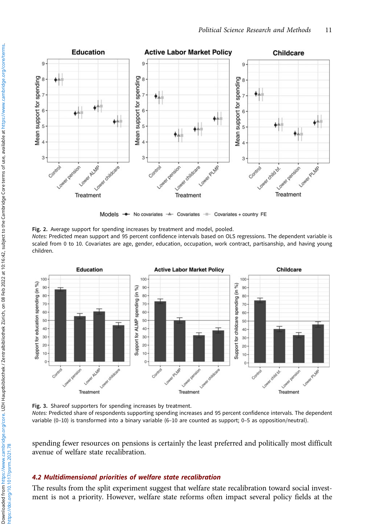<span id="page-10-0"></span>

Models - No covariates - Covariates - Covariates + country FE

Fig. 2. Average support for spending increases by treatment and model, pooled.

Notes: Predicted mean support and 95 percent confidence intervals based on OLS regressions. The dependent variable is scaled from 0 to 10. Covariates are age, gender, education, occupation, work contract, partisanship, and having young children.



Fig. 3. Shareof supporters for spending increases by treatment.

Notes: Predicted share of respondents supporting spending increases and 95 percent confidence intervals. The dependent variable (0–10) is transformed into a binary variable (6–10 are counted as support; 0–5 as opposition/neutral).

spending fewer resources on pensions is certainly the least preferred and politically most difficult avenue of welfare state recalibration.

# 4.2 Multidimensional priorities of welfare state recalibration

The results from the split experiment suggest that welfare state recalibration toward social investment is not a priority. However, welfare state reforms often impact several policy fields at the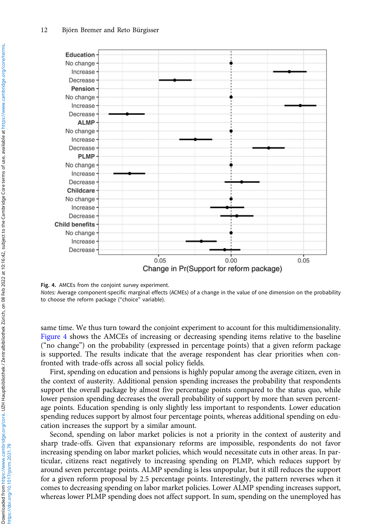

#### Fig. 4. AMCEs from the conjoint survey experiment.

Notes: Average component-specific marginal effects (ACMEs) of a change in the value of one dimension on the probability to choose the reform package ("choice" variable).

same time. We thus turn toward the conjoint experiment to account for this multidimensionality. Figure 4 shows the AMCEs of increasing or decreasing spending items relative to the baseline ("no change") on the probability (expressed in percentage points) that a given reform package is supported. The results indicate that the average respondent has clear priorities when confronted with trade-offs across all social policy fields.

First, spending on education and pensions is highly popular among the average citizen, even in the context of austerity. Additional pension spending increases the probability that respondents support the overall package by almost five percentage points compared to the status quo, while lower pension spending decreases the overall probability of support by more than seven percentage points. Education spending is only slightly less important to respondents. Lower education spending reduces support by almost four percentage points, whereas additional spending on education increases the support by a similar amount.

Second, spending on labor market policies is not a priority in the context of austerity and sharp trade-offs. Given that expansionary reforms are impossible, respondents do not favor increasing spending on labor market policies, which would necessitate cuts in other areas. In particular, citizens react negatively to increasing spending on PLMP, which reduces support by around seven percentage points. ALMP spending is less unpopular, but it still reduces the support for a given reform proposal by 2.5 percentage points. Interestingly, the pattern reverses when it comes to decreasing spending on labor market policies. Lower ALMP spending increases support, whereas lower PLMP spending does not affect support. In sum, spending on the unemployed has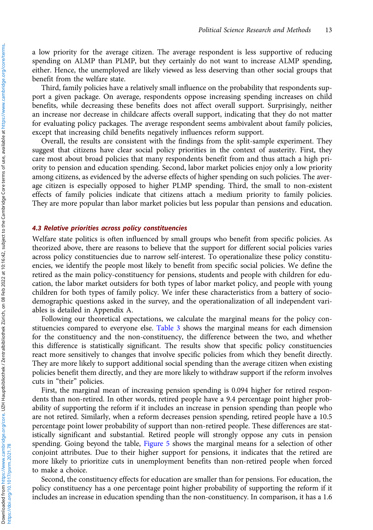a low priority for the average citizen. The average respondent is less supportive of reducing spending on ALMP than PLMP, but they certainly do not want to increase ALMP spending, either. Hence, the unemployed are likely viewed as less deserving than other social groups that benefit from the welfare state.

Third, family policies have a relatively small influence on the probability that respondents support a given package. On average, respondents oppose increasing spending increases on child benefits, while decreasing these benefits does not affect overall support. Surprisingly, neither an increase nor decrease in childcare affects overall support, indicating that they do not matter for evaluating policy packages. The average respondent seems ambivalent about family policies, except that increasing child benefits negatively influences reform support.

Overall, the results are consistent with the findings from the split-sample experiment. They suggest that citizens have clear social policy priorities in the context of austerity. First, they care most about broad policies that many respondents benefit from and thus attach a high priority to pension and education spending. Second, labor market policies enjoy only a low priority among citizens, as evidenced by the adverse effects of higher spending on such policies. The average citizen is especially opposed to higher PLMP spending. Third, the small to non-existent effects of family policies indicate that citizens attach a medium priority to family policies. They are more popular than labor market policies but less popular than pensions and education.

## 4.3 Relative priorities across policy constituencies

Welfare state politics is often influenced by small groups who benefit from specific policies. As theorized above, there are reasons to believe that the support for different social policies varies across policy constituencies due to narrow self-interest. To operationalize these policy constituencies, we identify the people most likely to benefit from specific social policies. We define the retired as the main policy-constituency for pensions, students and people with children for education, the labor market outsiders for both types of labor market policy, and people with young children for both types of family policy. We infer these characteristics from a battery of sociodemographic questions asked in the survey, and the operationalization of all independent variables is detailed in Appendix A.

Following our theoretical expectations, we calculate the marginal means for the policy constituencies compared to everyone else. [Table 3](#page-13-0) shows the marginal means for each dimension for the constituency and the non-constituency, the difference between the two, and whether this difference is statistically significant. The results show that specific policy constituencies react more sensitively to changes that involve specific policies from which they benefit directly. They are more likely to support additional social spending than the average citizen when existing policies benefit them directly, and they are more likely to withdraw support if the reform involves cuts in "their" policies.

First, the marginal mean of increasing pension spending is 0.094 higher for retired respondents than non-retired. In other words, retired people have a 9.4 percentage point higher probability of supporting the reform if it includes an increase in pension spending than people who are not retired. Similarly, when a reform decreases pension spending, retired people have a 10.5 percentage point lower probability of support than non-retired people. These differences are statistically significant and substantial. Retired people will strongly oppose any cuts in pension spending. Going beyond the table, [Figure 5](#page-14-0) shows the marginal means for a selection of other conjoint attributes. Due to their higher support for pensions, it indicates that the retired are more likely to prioritize cuts in unemployment benefits than non-retired people when forced to make a choice.

Second, the constituency effects for education are smaller than for pensions. For education, the policy constituency has a one percentage point higher probability of supporting the reform if it includes an increase in education spending than the non-constituency. In comparison, it has a 1.6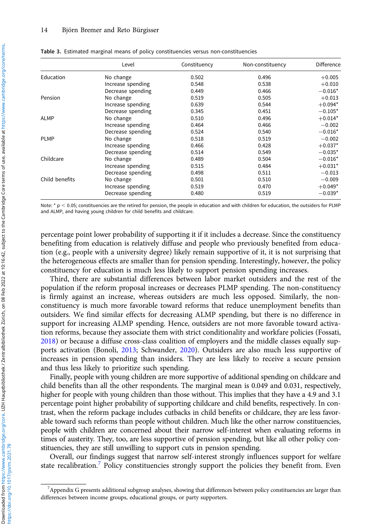|                | Level             | Constituency | Non-constituency | Difference |
|----------------|-------------------|--------------|------------------|------------|
| Education      | No change         | 0.502        | 0.496            | $+0.005$   |
|                | Increase spending | 0.548        | 0.538            | $+0.010$   |
|                | Decrease spending | 0.449        | 0.466            | $-0.016*$  |
| Pension        | No change         | 0.519        | 0.505            | $+0.013$   |
|                | Increase spending | 0.639        | 0.544            | $+0.094*$  |
|                | Decrease spending | 0.345        | 0.451            | $-0.105*$  |
| <b>ALMP</b>    | No change         | 0.510        | 0.496            | $+0.014*$  |
|                | Increase spending | 0.464        | 0.466            | $-0.002$   |
|                | Decrease spending | 0.524        | 0.540            | $-0.016*$  |
| <b>PLMP</b>    | No change         | 0.518        | 0.519            | $-0.002$   |
|                | Increase spending | 0.466        | 0.428            | $+0.037*$  |
|                | Decrease spending | 0.514        | 0.549            | $-0.035*$  |
| Childcare      | No change         | 0.489        | 0.504            | $-0.016*$  |
|                | Increase spending | 0.515        | 0.484            | $+0.031*$  |
|                | Decrease spending | 0.498        | 0.511            | $-0.013$   |
| Child benefits | No change         | 0.501        | 0.510            | $-0.009$   |
|                | Increase spending | 0.519        | 0.470            | $+0.049*$  |
|                | Decrease spending | 0.480        | 0.519            | $-0.039*$  |

<span id="page-13-0"></span>Table 3. Estimated marginal means of policy constituencies versus non-constituencies

Note:  $*$  p  $<$  0.05; constituencies are the retired for pension, the people in education and with children for education, the outsiders for PLMP and ALMP, and having young children for child benefits and childcare.

percentage point lower probability of supporting it if it includes a decrease. Since the constituency benefiting from education is relatively diffuse and people who previously benefited from education (e.g., people with a university degree) likely remain supportive of it, it is not surprising that the heterogeneous effects are smaller than for pension spending. Interestingly, however, the policy constituency for education is much less likely to support pension spending increases.

Third, there are substantial differences between labor market outsiders and the rest of the population if the reform proposal increases or decreases PLMP spending. The non-constituency is firmly against an increase, whereas outsiders are much less opposed. Similarly, the nonconstituency is much more favorable toward reforms that reduce unemployment benefits than outsiders. We find similar effects for decreasing ALMP spending, but there is no difference in support for increasing ALMP spending. Hence, outsiders are not more favorable toward activation reforms, because they associate them with strict conditionality and workfare policies (Fossati, [2018\)](#page-17-0) or because a diffuse cross-class coalition of employers and the middle classes equally supports activation (Bonoli, [2013](#page-17-0); Schwander, [2020\)](#page-18-0). Outsiders are also much less supportive of increases in pension spending than insiders. They are less likely to receive a secure pension and thus less likely to prioritize such spending.

Finally, people with young children are more supportive of additional spending on childcare and child benefits than all the other respondents. The marginal mean is 0.049 and 0.031, respectively, higher for people with young children than those without. This implies that they have a 4.9 and 3.1 percentage point higher probability of supporting childcare and child benefits, respectively. In contrast, when the reform package includes cutbacks in child benefits or childcare, they are less favorable toward such reforms than people without children. Much like the other narrow constituencies, people with children are concerned about their narrow self-interest when evaluating reforms in times of austerity. They, too, are less supportive of pension spending, but like all other policy constituencies, they are still unwilling to support cuts in pension spending.

Overall, our findings suggest that narrow self-interest strongly influences support for welfare state recalibration.<sup>7</sup> Policy constituencies strongly support the policies they benefit from. Even

<sup>7</sup> Appendix G presents additional subgroup analyses, showing that differences between policy constituencies are larger than differences between income groups, educational groups, or party supporters.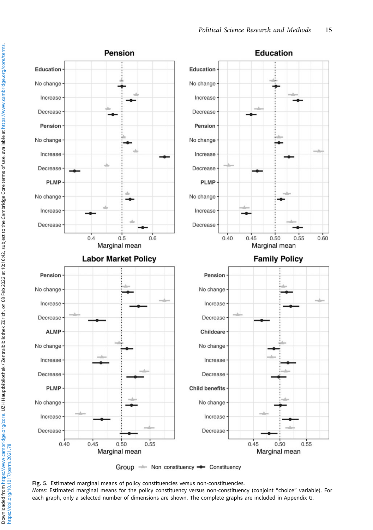<span id="page-14-0"></span>

Group - Non constituency - Constituency

Fig. 5. Estimated marginal means of policy constituencies versus non-constituencies. Notes: Estimated marginal means for the policy constituency versus non-constituency (conjoint "choice" variable). For each graph, only a selected number of dimensions are shown. The complete graphs are included in Appendix G.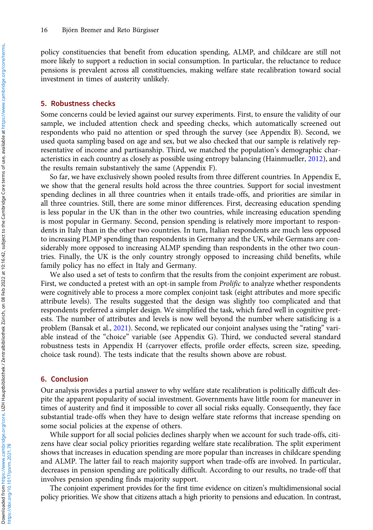policy constituencies that benefit from education spending, ALMP, and childcare are still not more likely to support a reduction in social consumption. In particular, the reluctance to reduce pensions is prevalent across all constituencies, making welfare state recalibration toward social investment in times of austerity unlikely.

### 5. Robustness checks

Some concerns could be levied against our survey experiments. First, to ensure the validity of our sample, we included attention check and speeding checks, which automatically screened out respondents who paid no attention or sped through the survey (see Appendix B). Second, we used quota sampling based on age and sex, but we also checked that our sample is relatively representative of income and partisanship. Third, we matched the population's demographic characteristics in each country as closely as possible using entropy balancing (Hainmueller, [2012](#page-17-0)), and the results remain substantively the same (Appendix F).

So far, we have exclusively shown pooled results from three different countries. In Appendix E, we show that the general results hold across the three countries. Support for social investment spending declines in all three countries when it entails trade-offs, and priorities are similar in all three countries. Still, there are some minor differences. First, decreasing education spending is less popular in the UK than in the other two countries, while increasing education spending is most popular in Germany. Second, pension spending is relatively more important to respondents in Italy than in the other two countries. In turn, Italian respondents are much less opposed to increasing PLMP spending than respondents in Germany and the UK, while Germans are considerably more opposed to increasing ALMP spending than respondents in the other two countries. Finally, the UK is the only country strongly opposed to increasing child benefits, while family policy has no effect in Italy and Germany.

We also used a set of tests to confirm that the results from the conjoint experiment are robust. First, we conducted a pretest with an opt-in sample from Prolific to analyze whether respondents were cognitively able to process a more complex conjoint task (eight attributes and more specific attribute levels). The results suggested that the design was slightly too complicated and that respondents preferred a simpler design. We simplified the task, which fared well in cognitive pretests. The number of attributes and levels is now well beyond the number where satisficing is a problem (Bansak et al., [2021\)](#page-17-0). Second, we replicated our conjoint analyses using the "rating" variable instead of the "choice" variable (see Appendix G). Third, we conducted several standard robustness tests in Appendix H (carryover effects, profile order effects, screen size, speeding, choice task round). The tests indicate that the results shown above are robust.

## 6. Conclusion

Our analysis provides a partial answer to why welfare state recalibration is politically difficult despite the apparent popularity of social investment. Governments have little room for maneuver in times of austerity and find it impossible to cover all social risks equally. Consequently, they face substantial trade-offs when they have to design welfare state reforms that increase spending on some social policies at the expense of others.

While support for all social policies declines sharply when we account for such trade-offs, citizens have clear social policy priorities regarding welfare state recalibration. The split experiment shows that increases in education spending are more popular than increases in childcare spending and ALMP. The latter fail to reach majority support when trade-offs are involved. In particular, decreases in pension spending are politically difficult. According to our results, no trade-off that involves pension spending finds majority support.

The conjoint experiment provides for the first time evidence on citizen's multidimensional social policy priorities. We show that citizens attach a high priority to pensions and education. In contrast,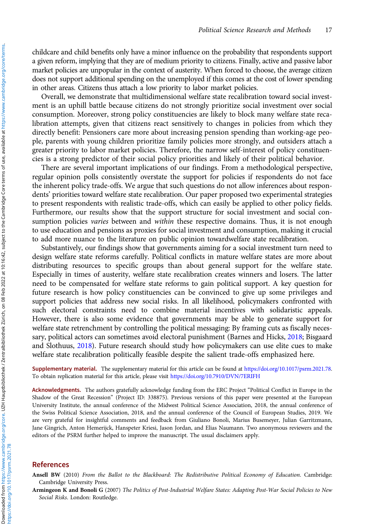<span id="page-16-0"></span>childcare and child benefits only have a minor influence on the probability that respondents support a given reform, implying that they are of medium priority to citizens. Finally, active and passive labor market policies are unpopular in the context of austerity. When forced to choose, the average citizen does not support additional spending on the unemployed if this comes at the cost of lower spending in other areas. Citizens thus attach a low priority to labor market policies.

Overall, we demonstrate that multidimensional welfare state recalibration toward social investment is an uphill battle because citizens do not strongly prioritize social investment over social consumption. Moreover, strong policy constituencies are likely to block many welfare state recalibration attempts, given that citizens react sensitively to changes in policies from which they directly benefit: Pensioners care more about increasing pension spending than working-age people, parents with young children prioritize family policies more strongly, and outsiders attach a greater priority to labor market policies. Therefore, the narrow self-interest of policy constituencies is a strong predictor of their social policy priorities and likely of their political behavior.

There are several important implications of our findings. From a methodological perspective, regular opinion polls consistently overstate the support for policies if respondents do not face the inherent policy trade-offs. We argue that such questions do not allow inferences about respondents' priorities toward welfare state recalibration. Our paper proposed two experimental strategies to present respondents with realistic trade-offs, which can easily be applied to other policy fields. Furthermore, our results show that the support structure for social investment and social consumption policies varies between and within these respective domains. Thus, it is not enough to use education and pensions as proxies for social investment and consumption, making it crucial to add more nuance to the literature on public opinion towardwelfare state recalibration.

Substantively, our findings show that governments aiming for a social investment turn need to design welfare state reforms carefully. Political conflicts in mature welfare states are more about distributing resources to specific groups than about general support for the welfare state. Especially in times of austerity, welfare state recalibration creates winners and losers. The latter need to be compensated for welfare state reforms to gain political support. A key question for future research is how policy constituencies can be convinced to give up some privileges and support policies that address new social risks. In all likelihood, policymakers confronted with such electoral constraints need to combine material incentives with solidaristic appeals. However, there is also some evidence that governments may be able to generate support for welfare state retrenchment by controlling the political messaging: By framing cuts as fiscally necessary, political actors can sometimes avoid electoral punishment (Barnes and Hicks, [2018;](#page-17-0) Bisgaard and Slothuus, [2018](#page-17-0)). Future research should study how policymakers can use elite cues to make welfare state recalibration politically feasible despite the salient trade-offs emphasized here.

Supplementary material. The supplementary material for this article can be found at [https://doi.org/10.1017/psrm.2021.78.](https://doi.org/10.1017/psrm.2021.78) To obtain replication material for this article, please visit <https://doi.org/10.7910/DVN/7ERIFH>

Acknowledgments. The authors gratefully acknowledge funding from the ERC Project "Political Conflict in Europe in the Shadow of the Great Recession" (Project ID: 338875). Previous versions of this paper were presented at the European University Institute, the annual conference of the Midwest Political Science Association, 2018, the annual conference of the Swiss Political Science Association, 2018, and the annual conference of the Council of European Studies, 2019. We are very grateful for insightful comments and feedback from Giuliano Bonoli, Marius Busemeyer, Julian Garritzmann, Jane Gingrich, Anton Hemerijck, Hanspeter Kriesi, Jason Jordan, and Elias Naumann. Two anonymous reviewers and the editors of the PSRM further helped to improve the manuscript. The usual disclaimers apply.

### References

Ansell BW (2010) From the Ballot to the Blackboard: The Redistributive Political Economy of Education. Cambridge: Cambridge University Press.

Armingeon K and Bonoli G (2007) The Politics of Post-Industrial Welfare States: Adapting Post-War Social Policies to New Social Risks. London: Routledge.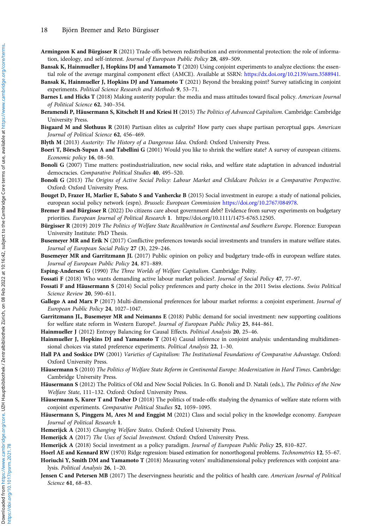- <span id="page-17-0"></span>Armingeon K and Bürgisser R (2021) Trade-offs between redistribution and environmental protection: the role of information, ideology, and self-interest. Journal of European Public Policy 28, 489–509.
- Bansak K, Hainmueller J, Hopkins DJ and Yamamoto T (2020) Using conjoint experiments to analyze elections: the essential role of the average marginal component effect (AMCE). Available at SSRN: [https://dx.doi.org/10.2139/ssrn.3588941.](https://dx.doi.org/10.2139/ssrn.3588941)
- Bansak K, Hainmueller J, Hopkins DJ and Yamamoto T (2021) Beyond the breaking point? Survey satisficing in conjoint experiments. Political Science Research and Methods 9, 53–71.
- Barnes L and Hicks T (2018) Making austerity popular: the media and mass attitudes toward fiscal policy. American Journal of Political Science 62, 340–354.
- Beramendi P, Häusermann S, Kitschelt H and Kriesi H (2015) The Politics of Advanced Capitalism. Cambridge: Cambridge University Press.
- Bisgaard M and Slothuus R (2018) Partisan elites as culprits? How party cues shape partisan perceptual gaps. American Journal of Political Science 62, 456–469.
- Blyth M (2013) Austerity: The History of a Dangerous Idea. Oxford: Oxford University Press.
- Boeri T, Börsch-Supan A and Tabellini G (2001) Would you like to shrink the welfare state? A survey of european citizens. Economic policy 16, 08–50.
- Bonoli G (2007) Time matters: postindustrialization, new social risks, and welfare state adaptation in advanced industrial democracies. Comparative Political Studies 40, 495–520.
- Bonoli G (2013) The Origins of Active Social Policy: Labour Market and Childcare Policies in a Comparative Perspective. Oxford: Oxford University Press.
- Bouget D, Frazer H, Marlier E, Sabato S and Vanhercke B (2015) Social investment in europe: a study of national policies, european social policy network (espn). Brussels: European Commission [https://doi.org/10.2767/084978.](https://doi.org/10.2767/084978)
- Bremer B and Bürgisser R (2022) Do citizens care about government debt? Evidence from survey experiments on budgetary priorities. European Journal of Political Research 1. https://doi.org/10.1111/1475-6765.12505.
- Bürgisser R (2019) 2019 The Politics of Welfare State Recalibration in Continental and Southern Europe. Florence: European University Institute: PhD Thesis.
- Busemeyer MR and Erik N (2017) Conflictive preferences towards social investments and transfers in mature welfare states. Journal of European Social Policy 27 (3), 229–246.
- Busemeyer MR and Garritzmann JL (2017) Public opinion on policy and budgetary trade-offs in european welfare states. Journal of European Public Policy 24, 871–889.
- Esping-Andersen G (1990) The Three Worlds of Welfare Capitalism. Cambridge: Polity.
- Fossati F (2018) Who wants demanding active labour market policies?. Journal of Social Policy 47, 77–97.
- Fossati F and Häusermann S (2014) Social policy preferences and party choice in the 2011 Swiss elections. Swiss Political Science Review 20, 590–611.
- Gallego A and Marx P (2017) Multi-dimensional preferences for labour market reforms: a conjoint experiment. Journal of European Public Policy 24, 1027–1047.
- Garritzmann JL, Busemeyer MR and Neimanns E (2018) Public demand for social investment: new supporting coalitions for welfare state reform in Western Europe?. Journal of European Public Policy 25, 844–861.
- Hainmueller J (2012) Entropy Balancing for Causal Effects. Political Analysis 20, 25–46.
- Hainmueller J, Hopkins DJ and Yamamoto T (2014) Causal inference in conjoint analysis: understanding multidimensional choices via stated preference experiments. Political Analysis 22, 1–30.
- Hall PA and Soskice DW (2001) Varieties of Capitalism: The Institutional Foundations of Comparative Advantage. Oxford: Oxford University Press.
- Häusermann S (2010) The Politics of Welfare State Reform in Continental Europe: Modernization in Hard Times. Cambridge: Cambridge University Press.
- Häusermann S (2012) The Politics of Old and New Social Policies. In G. Bonoli and D. Natali (eds.), The Politics of the New Welfare State, 111–132. Oxford: Oxford University Press.
- Häusermann S, Kurer T and Traber D (2018) The politics of trade-offs: studying the dynamics of welfare state reform with conjoint experiments. Comparative Political Studies 52, 1059–1095.
- Häusermann S, Pinggera M, Ares M and Enggist M (2021) Class and social policy in the knowledge economy. European Journal of Political Research 1.
- Hemerijck A (2013) Changing Welfare States. Oxford: Oxford University Press.
- Hemerijck A (2017) The Uses of Social Investment. Oxford: Oxford University Press.
- Hemerijck A (2018) Social investment as a policy paradigm. Journal of European Public Policy 25, 810–827.
- Hoerl AE and Kennard RW (1970) Ridge regression: biased estimation for nonorthogonal problems. Technometrics 12, 55–67.
- Horiuchi Y, Smith DM and Yamamoto T (2018) Measuring voters' multidimensional policy preferences with conjoint analysis. Political Analysis 26, 1–20.
- Jensen C and Petersen MB (2017) The deservingness heuristic and the politics of health care. American Journal of Political Science 61, 68–83.